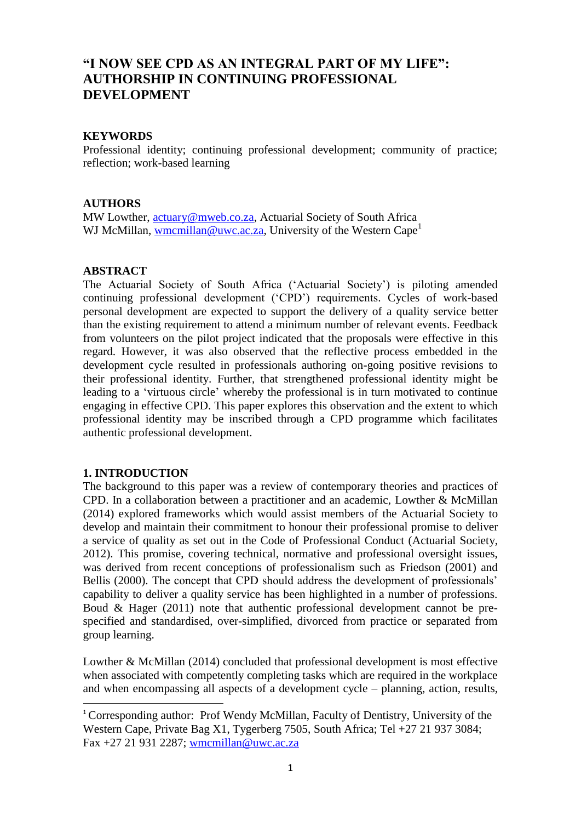# **"I NOW SEE CPD AS AN INTEGRAL PART OF MY LIFE": AUTHORSHIP IN CONTINUING PROFESSIONAL DEVELOPMENT**

## **KEYWORDS**

Professional identity; continuing professional development; community of practice; reflection; work-based learning

## **AUTHORS**

MW Lowther, [actuary@mweb.co.za,](mailto:actuary@mweb.co.za) Actuarial Society of South Africa WJ McMillan, [wmcmillan@uwc.ac.za,](mailto:wmcmillan@uwc.ac.za) University of the Western Cape<sup>1</sup>

## **ABSTRACT**

The Actuarial Society of South Africa ('Actuarial Society') is piloting amended continuing professional development ('CPD') requirements. Cycles of work-based personal development are expected to support the delivery of a quality service better than the existing requirement to attend a minimum number of relevant events. Feedback from volunteers on the pilot project indicated that the proposals were effective in this regard. However, it was also observed that the reflective process embedded in the development cycle resulted in professionals authoring on-going positive revisions to their professional identity. Further, that strengthened professional identity might be leading to a 'virtuous circle' whereby the professional is in turn motivated to continue engaging in effective CPD. This paper explores this observation and the extent to which professional identity may be inscribed through a CPD programme which facilitates authentic professional development.

## **1. INTRODUCTION**

**.** 

The background to this paper was a review of contemporary theories and practices of CPD. In a collaboration between a practitioner and an academic, Lowther & McMillan (2014) explored frameworks which would assist members of the Actuarial Society to develop and maintain their commitment to honour their professional promise to deliver a service of quality as set out in the Code of Professional Conduct (Actuarial Society, 2012). This promise, covering technical, normative and professional oversight issues, was derived from recent conceptions of professionalism such as Friedson (2001) and Bellis (2000). The concept that CPD should address the development of professionals' capability to deliver a quality service has been highlighted in a number of professions. Boud & Hager (2011) note that authentic professional development cannot be prespecified and standardised, over-simplified, divorced from practice or separated from group learning.

Lowther & McMillan (2014) concluded that professional development is most effective when associated with competently completing tasks which are required in the workplace and when encompassing all aspects of a development cycle – planning, action, results,

<sup>&</sup>lt;sup>1</sup> Corresponding author: Prof Wendy McMillan, Faculty of Dentistry, University of the Western Cape, Private Bag X1, Tygerberg 7505, South Africa; Tel +27 21 937 3084; Fax +27 21 931 2287; [wmcmillan@uwc.ac.za](mailto:wmcmillan@uwc.ac.za)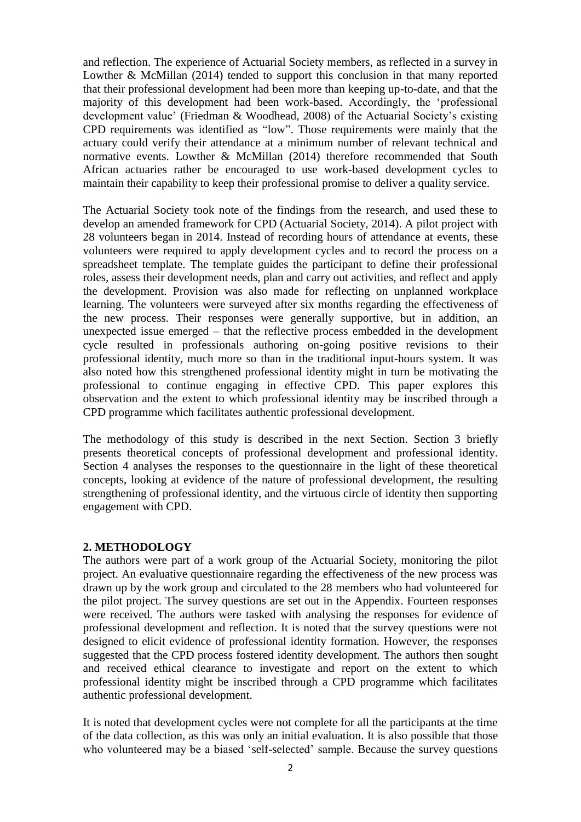and reflection. The experience of Actuarial Society members, as reflected in a survey in Lowther & McMillan (2014) tended to support this conclusion in that many reported that their professional development had been more than keeping up-to-date, and that the majority of this development had been work-based. Accordingly, the 'professional development value' (Friedman & Woodhead, 2008) of the Actuarial Society's existing CPD requirements was identified as "low". Those requirements were mainly that the actuary could verify their attendance at a minimum number of relevant technical and normative events. Lowther & McMillan (2014) therefore recommended that South African actuaries rather be encouraged to use work-based development cycles to maintain their capability to keep their professional promise to deliver a quality service.

The Actuarial Society took note of the findings from the research, and used these to develop an amended framework for CPD (Actuarial Society, 2014). A pilot project with 28 volunteers began in 2014. Instead of recording hours of attendance at events, these volunteers were required to apply development cycles and to record the process on a spreadsheet template. The template guides the participant to define their professional roles, assess their development needs, plan and carry out activities, and reflect and apply the development. Provision was also made for reflecting on unplanned workplace learning. The volunteers were surveyed after six months regarding the effectiveness of the new process. Their responses were generally supportive, but in addition, an unexpected issue emerged – that the reflective process embedded in the development cycle resulted in professionals authoring on-going positive revisions to their professional identity, much more so than in the traditional input-hours system. It was also noted how this strengthened professional identity might in turn be motivating the professional to continue engaging in effective CPD. This paper explores this observation and the extent to which professional identity may be inscribed through a CPD programme which facilitates authentic professional development.

The methodology of this study is described in the next Section. Section 3 briefly presents theoretical concepts of professional development and professional identity. Section 4 analyses the responses to the questionnaire in the light of these theoretical concepts, looking at evidence of the nature of professional development, the resulting strengthening of professional identity, and the virtuous circle of identity then supporting engagement with CPD.

#### **2. METHODOLOGY**

The authors were part of a work group of the Actuarial Society, monitoring the pilot project. An evaluative questionnaire regarding the effectiveness of the new process was drawn up by the work group and circulated to the 28 members who had volunteered for the pilot project. The survey questions are set out in the Appendix. Fourteen responses were received. The authors were tasked with analysing the responses for evidence of professional development and reflection. It is noted that the survey questions were not designed to elicit evidence of professional identity formation. However, the responses suggested that the CPD process fostered identity development. The authors then sought and received ethical clearance to investigate and report on the extent to which professional identity might be inscribed through a CPD programme which facilitates authentic professional development.

It is noted that development cycles were not complete for all the participants at the time of the data collection, as this was only an initial evaluation. It is also possible that those who volunteered may be a biased 'self-selected' sample. Because the survey questions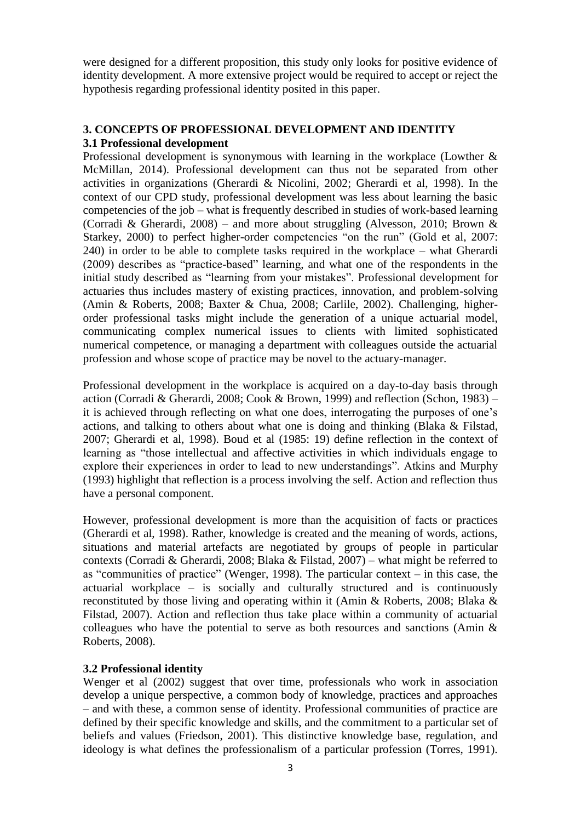were designed for a different proposition, this study only looks for positive evidence of identity development. A more extensive project would be required to accept or reject the hypothesis regarding professional identity posited in this paper.

# **3. CONCEPTS OF PROFESSIONAL DEVELOPMENT AND IDENTITY**

# **3.1 Professional development**

Professional development is synonymous with learning in the workplace (Lowther & McMillan, 2014). Professional development can thus not be separated from other activities in organizations (Gherardi & Nicolini, 2002; Gherardi et al, 1998). In the context of our CPD study, professional development was less about learning the basic competencies of the job – what is frequently described in studies of work-based learning (Corradi & Gherardi, 2008) – and more about struggling (Alvesson, 2010; Brown & Starkey, 2000) to perfect higher-order competencies "on the run" (Gold et al, 2007: 240) in order to be able to complete tasks required in the workplace – what Gherardi (2009) describes as "practice-based" learning, and what one of the respondents in the initial study described as "learning from your mistakes". Professional development for actuaries thus includes mastery of existing practices, innovation, and problem-solving (Amin & Roberts, 2008; Baxter & Chua, 2008; Carlile, 2002). Challenging, higherorder professional tasks might include the generation of a unique actuarial model, communicating complex numerical issues to clients with limited sophisticated numerical competence, or managing a department with colleagues outside the actuarial profession and whose scope of practice may be novel to the actuary-manager.

Professional development in the workplace is acquired on a day-to-day basis through action (Corradi & Gherardi, 2008; Cook & Brown, 1999) and reflection (Schon, 1983) – it is achieved through reflecting on what one does, interrogating the purposes of one's actions, and talking to others about what one is doing and thinking (Blaka & Filstad, 2007; Gherardi et al, 1998). Boud et al (1985: 19) define reflection in the context of learning as "those intellectual and affective activities in which individuals engage to explore their experiences in order to lead to new understandings". Atkins and Murphy (1993) highlight that reflection is a process involving the self. Action and reflection thus have a personal component.

However, professional development is more than the acquisition of facts or practices (Gherardi et al, 1998). Rather, knowledge is created and the meaning of words, actions, situations and material artefacts are negotiated by groups of people in particular contexts (Corradi & Gherardi, 2008; Blaka & Filstad, 2007) – what might be referred to as "communities of practice" (Wenger, 1998). The particular context – in this case, the actuarial workplace – is socially and culturally structured and is continuously reconstituted by those living and operating within it (Amin & Roberts, 2008; Blaka & Filstad, 2007). Action and reflection thus take place within a community of actuarial colleagues who have the potential to serve as both resources and sanctions (Amin & Roberts, 2008).

# **3.2 Professional identity**

Wenger et al (2002) suggest that over time, professionals who work in association develop a unique perspective, a common body of knowledge, practices and approaches – and with these, a common sense of identity. Professional communities of practice are defined by their specific knowledge and skills, and the commitment to a particular set of beliefs and values (Friedson, 2001). This distinctive knowledge base, regulation, and ideology is what defines the professionalism of a particular profession (Torres, 1991).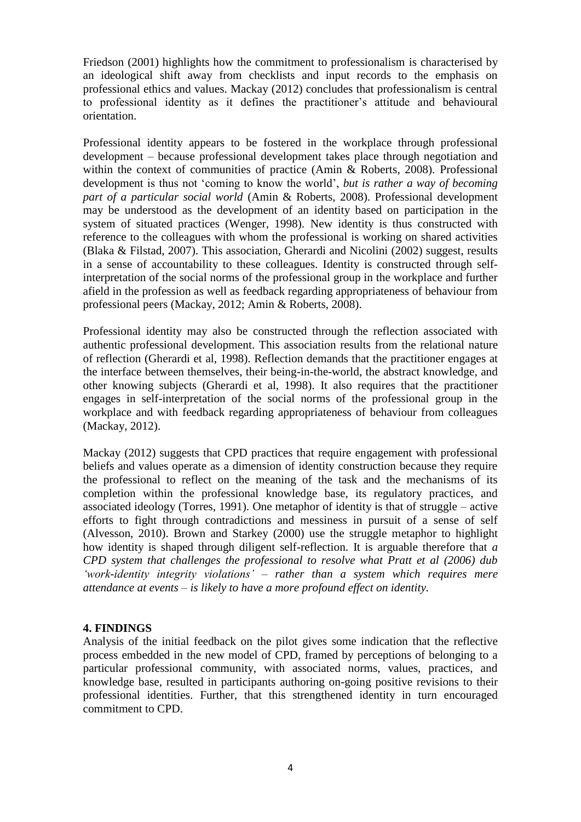Friedson (2001) highlights how the commitment to professionalism is characterised by an ideological shift away from checklists and input records to the emphasis on professional ethics and values. Mackay (2012) concludes that professionalism is central to professional identity as it defines the practitioner's attitude and behavioural orientation.

Professional identity appears to be fostered in the workplace through professional development – because professional development takes place through negotiation and within the context of communities of practice (Amin & Roberts, 2008). Professional development is thus not 'coming to know the world', *but is rather a way of becoming part of a particular social world* (Amin & Roberts, 2008). Professional development may be understood as the development of an identity based on participation in the system of situated practices (Wenger, 1998). New identity is thus constructed with reference to the colleagues with whom the professional is working on shared activities (Blaka & Filstad, 2007). This association, Gherardi and Nicolini (2002) suggest, results in a sense of accountability to these colleagues. Identity is constructed through selfinterpretation of the social norms of the professional group in the workplace and further afield in the profession as well as feedback regarding appropriateness of behaviour from professional peers (Mackay, 2012; Amin & Roberts, 2008).

Professional identity may also be constructed through the reflection associated with authentic professional development. This association results from the relational nature of reflection (Gherardi et al, 1998). Reflection demands that the practitioner engages at the interface between themselves, their being-in-the-world, the abstract knowledge, and other knowing subjects (Gherardi et al, 1998). It also requires that the practitioner engages in self-interpretation of the social norms of the professional group in the workplace and with feedback regarding appropriateness of behaviour from colleagues (Mackay, 2012).

Mackay (2012) suggests that CPD practices that require engagement with professional beliefs and values operate as a dimension of identity construction because they require the professional to reflect on the meaning of the task and the mechanisms of its completion within the professional knowledge base, its regulatory practices, and associated ideology (Torres, 1991). One metaphor of identity is that of struggle – active efforts to fight through contradictions and messiness in pursuit of a sense of self (Alvesson, 2010). Brown and Starkey (2000) use the struggle metaphor to highlight how identity is shaped through diligent self-reflection. It is arguable therefore that *a CPD system that challenges the professional to resolve what Pratt et al (2006) dub 'work-identity integrity violations' – rather than a system which requires mere attendance at events – is likely to have a more profound effect on identity.*

## **4. FINDINGS**

Analysis of the initial feedback on the pilot gives some indication that the reflective process embedded in the new model of CPD, framed by perceptions of belonging to a particular professional community, with associated norms, values, practices, and knowledge base, resulted in participants authoring on-going positive revisions to their professional identities. Further, that this strengthened identity in turn encouraged commitment to CPD.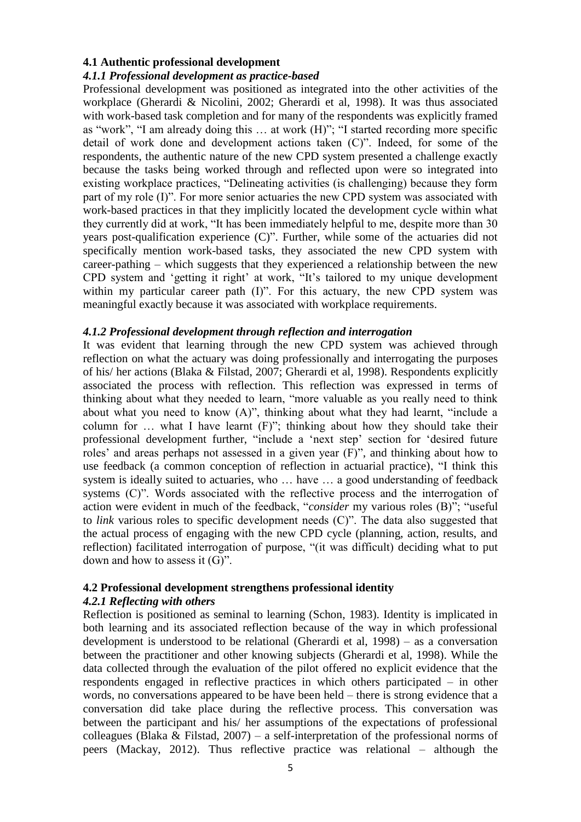#### **4.1 Authentic professional development**

#### *4.1.1 Professional development as practice-based*

Professional development was positioned as integrated into the other activities of the workplace (Gherardi & Nicolini, 2002; Gherardi et al, 1998). It was thus associated with work-based task completion and for many of the respondents was explicitly framed as "work", "I am already doing this … at work (H)"; "I started recording more specific detail of work done and development actions taken (C)". Indeed, for some of the respondents, the authentic nature of the new CPD system presented a challenge exactly because the tasks being worked through and reflected upon were so integrated into existing workplace practices, "Delineating activities (is challenging) because they form part of my role (I)". For more senior actuaries the new CPD system was associated with work-based practices in that they implicitly located the development cycle within what they currently did at work, "It has been immediately helpful to me, despite more than 30 years post-qualification experience (C)". Further, while some of the actuaries did not specifically mention work-based tasks, they associated the new CPD system with career-pathing – which suggests that they experienced a relationship between the new CPD system and 'getting it right' at work, "It's tailored to my unique development within my particular career path (I)". For this actuary, the new CPD system was meaningful exactly because it was associated with workplace requirements.

#### *4.1.2 Professional development through reflection and interrogation*

It was evident that learning through the new CPD system was achieved through reflection on what the actuary was doing professionally and interrogating the purposes of his/ her actions (Blaka & Filstad, 2007; Gherardi et al, 1998). Respondents explicitly associated the process with reflection. This reflection was expressed in terms of thinking about what they needed to learn, "more valuable as you really need to think about what you need to know (A)", thinking about what they had learnt, "include a column for … what I have learnt (F)"; thinking about how they should take their professional development further, "include a 'next step' section for 'desired future roles' and areas perhaps not assessed in a given year (F)", and thinking about how to use feedback (a common conception of reflection in actuarial practice), "I think this system is ideally suited to actuaries, who … have … a good understanding of feedback systems (C)". Words associated with the reflective process and the interrogation of action were evident in much of the feedback, "*consider* my various roles (B)"; "useful to *link* various roles to specific development needs (C)". The data also suggested that the actual process of engaging with the new CPD cycle (planning, action, results, and reflection) facilitated interrogation of purpose, "(it was difficult) deciding what to put down and how to assess it (G)".

## **4.2 Professional development strengthens professional identity**

## *4.2.1 Reflecting with others*

Reflection is positioned as seminal to learning (Schon, 1983). Identity is implicated in both learning and its associated reflection because of the way in which professional development is understood to be relational (Gherardi et al, 1998) – as a conversation between the practitioner and other knowing subjects (Gherardi et al, 1998). While the data collected through the evaluation of the pilot offered no explicit evidence that the respondents engaged in reflective practices in which others participated – in other words, no conversations appeared to be have been held – there is strong evidence that a conversation did take place during the reflective process. This conversation was between the participant and his/ her assumptions of the expectations of professional colleagues (Blaka & Filstad, 2007) – a self-interpretation of the professional norms of peers (Mackay, 2012). Thus reflective practice was relational – although the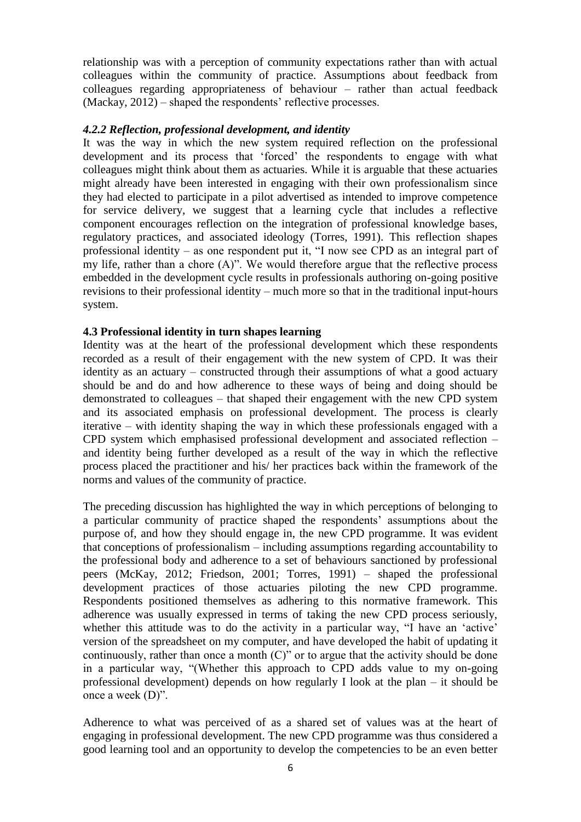relationship was with a perception of community expectations rather than with actual colleagues within the community of practice. Assumptions about feedback from colleagues regarding appropriateness of behaviour – rather than actual feedback (Mackay, 2012) – shaped the respondents' reflective processes.

## *4.2.2 Reflection, professional development, and identity*

It was the way in which the new system required reflection on the professional development and its process that 'forced' the respondents to engage with what colleagues might think about them as actuaries. While it is arguable that these actuaries might already have been interested in engaging with their own professionalism since they had elected to participate in a pilot advertised as intended to improve competence for service delivery, we suggest that a learning cycle that includes a reflective component encourages reflection on the integration of professional knowledge bases, regulatory practices, and associated ideology (Torres, 1991). This reflection shapes professional identity – as one respondent put it, "I now see CPD as an integral part of my life, rather than a chore (A)". We would therefore argue that the reflective process embedded in the development cycle results in professionals authoring on-going positive revisions to their professional identity – much more so that in the traditional input-hours system.

#### **4.3 Professional identity in turn shapes learning**

Identity was at the heart of the professional development which these respondents recorded as a result of their engagement with the new system of CPD. It was their identity as an actuary – constructed through their assumptions of what a good actuary should be and do and how adherence to these ways of being and doing should be demonstrated to colleagues – that shaped their engagement with the new CPD system and its associated emphasis on professional development. The process is clearly iterative – with identity shaping the way in which these professionals engaged with a CPD system which emphasised professional development and associated reflection – and identity being further developed as a result of the way in which the reflective process placed the practitioner and his/ her practices back within the framework of the norms and values of the community of practice.

The preceding discussion has highlighted the way in which perceptions of belonging to a particular community of practice shaped the respondents' assumptions about the purpose of, and how they should engage in, the new CPD programme. It was evident that conceptions of professionalism – including assumptions regarding accountability to the professional body and adherence to a set of behaviours sanctioned by professional peers (McKay, 2012; Friedson, 2001; Torres, 1991) – shaped the professional development practices of those actuaries piloting the new CPD programme. Respondents positioned themselves as adhering to this normative framework. This adherence was usually expressed in terms of taking the new CPD process seriously, whether this attitude was to do the activity in a particular way, "I have an 'active' version of the spreadsheet on my computer, and have developed the habit of updating it continuously, rather than once a month (C)" or to argue that the activity should be done in a particular way, "(Whether this approach to CPD adds value to my on-going professional development) depends on how regularly I look at the plan – it should be once a week (D)".

Adherence to what was perceived of as a shared set of values was at the heart of engaging in professional development. The new CPD programme was thus considered a good learning tool and an opportunity to develop the competencies to be an even better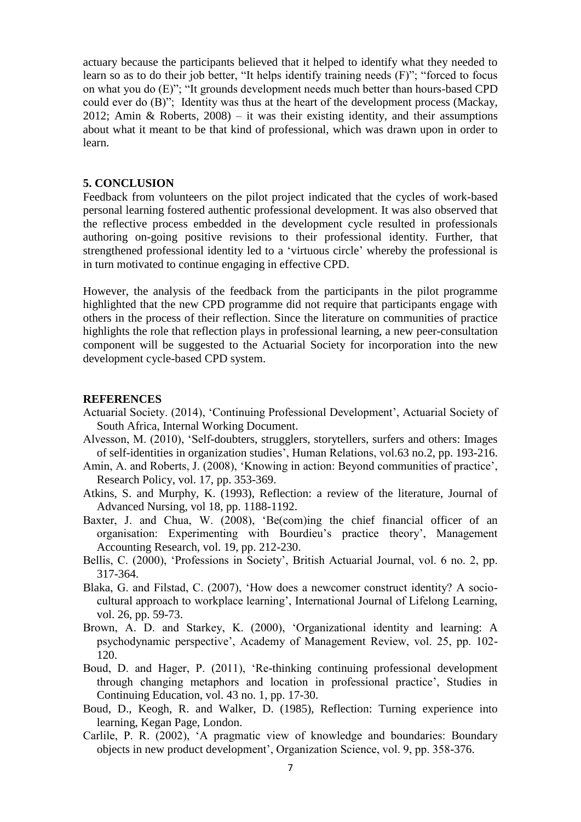actuary because the participants believed that it helped to identify what they needed to learn so as to do their job better, "It helps identify training needs (F)"; "forced to focus on what you do (E)"; "It grounds development needs much better than hours-based CPD could ever do (B)"; Identity was thus at the heart of the development process (Mackay, 2012; Amin & Roberts, 2008) – it was their existing identity, and their assumptions about what it meant to be that kind of professional, which was drawn upon in order to learn.

#### **5. CONCLUSION**

Feedback from volunteers on the pilot project indicated that the cycles of work-based personal learning fostered authentic professional development. It was also observed that the reflective process embedded in the development cycle resulted in professionals authoring on-going positive revisions to their professional identity. Further, that strengthened professional identity led to a 'virtuous circle' whereby the professional is in turn motivated to continue engaging in effective CPD.

However, the analysis of the feedback from the participants in the pilot programme highlighted that the new CPD programme did not require that participants engage with others in the process of their reflection. Since the literature on communities of practice highlights the role that reflection plays in professional learning, a new peer-consultation component will be suggested to the Actuarial Society for incorporation into the new development cycle-based CPD system.

#### **REFERENCES**

- Actuarial Society. (2014), 'Continuing Professional Development', Actuarial Society of South Africa, Internal Working Document.
- Alvesson, M. (2010), 'Self-doubters, strugglers, storytellers, surfers and others: Images of self-identities in organization studies', Human Relations, vol.63 no.2, pp. 193-216.
- Amin, A. and Roberts, J. (2008), 'Knowing in action: Beyond communities of practice', Research Policy, vol. 17, pp. 353-369.
- Atkins, S. and Murphy, K. (1993), Reflection: a review of the literature, Journal of Advanced Nursing, vol 18, pp. 1188-1192.
- Baxter, J. and Chua, W. (2008), 'Be(com)ing the chief financial officer of an organisation: Experimenting with Bourdieu's practice theory', Management Accounting Research, vol. 19, pp. 212-230.
- Bellis, C. (2000), 'Professions in Society', British Actuarial Journal, vol. 6 no. 2, pp. 317-364.
- Blaka, G. and Filstad, C. (2007), 'How does a newcomer construct identity? A sociocultural approach to workplace learning', International Journal of Lifelong Learning, vol. 26, pp. 59-73.
- Brown, A. D. and Starkey, K. (2000), 'Organizational identity and learning: A psychodynamic perspective', Academy of Management Review, vol. 25, pp. 102- 120.
- Boud, D. and Hager, P. (2011), 'Re-thinking continuing professional development through changing metaphors and location in professional practice', Studies in Continuing Education, vol. 43 no. 1, pp. 17-30.
- Boud, D., Keogh, R. and Walker, D. (1985), Reflection: Turning experience into learning, Kegan Page, London.
- Carlile, P. R. (2002), 'A pragmatic view of knowledge and boundaries: Boundary objects in new product development', Organization Science, vol. 9, pp. 358-376.